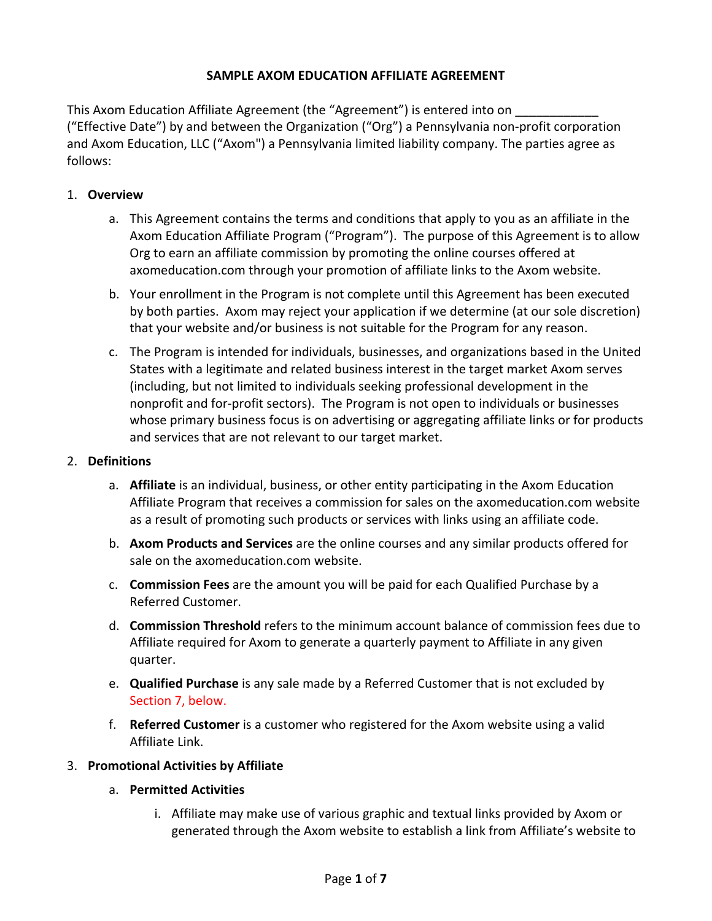## **SAMPLE AXOM EDUCATION AFFILIATE AGREEMENT**

This Axom Education Affiliate Agreement (the "Agreement") is entered into on ("Effective Date") by and between the Organization ("Org") a Pennsylvania non‐profit corporation and Axom Education, LLC ("Axom") a Pennsylvania limited liability company. The parties agree as follows:

## 1. **Overview**

- a. This Agreement contains the terms and conditions that apply to you as an affiliate in the Axom Education Affiliate Program ("Program"). The purpose of this Agreement is to allow Org to earn an affiliate commission by promoting the online courses offered at axomeducation.com through your promotion of affiliate links to the Axom website.
- b. Your enrollment in the Program is not complete until this Agreement has been executed by both parties. Axom may reject your application if we determine (at our sole discretion) that your website and/or business is not suitable for the Program for any reason.
- c. The Program is intended for individuals, businesses, and organizations based in the United States with a legitimate and related business interest in the target market Axom serves (including, but not limited to individuals seeking professional development in the nonprofit and for‐profit sectors). The Program is not open to individuals or businesses whose primary business focus is on advertising or aggregating affiliate links or for products and services that are not relevant to our target market.

## 2. **Definitions**

- a. **Affiliate** is an individual, business, or other entity participating in the Axom Education Affiliate Program that receives a commission for sales on the axomeducation.com website as a result of promoting such products or services with links using an affiliate code.
- b. **Axom Products and Services** are the online courses and any similar products offered for sale on the axomeducation.com website.
- c. **Commission Fees** are the amount you will be paid for each Qualified Purchase by a Referred Customer.
- d. **Commission Threshold** refers to the minimum account balance of commission fees due to Affiliate required for Axom to generate a quarterly payment to Affiliate in any given quarter.
- e. **Qualified Purchase** is any sale made by a Referred Customer that is not excluded by Section 7, below.
- f. **Referred Customer** is a customer who registered for the Axom website using a valid Affiliate Link.

## 3. **Promotional Activities by Affiliate**

## a. **Permitted Activities**

i. Affiliate may make use of various graphic and textual links provided by Axom or generated through the Axom website to establish a link from Affiliate's website to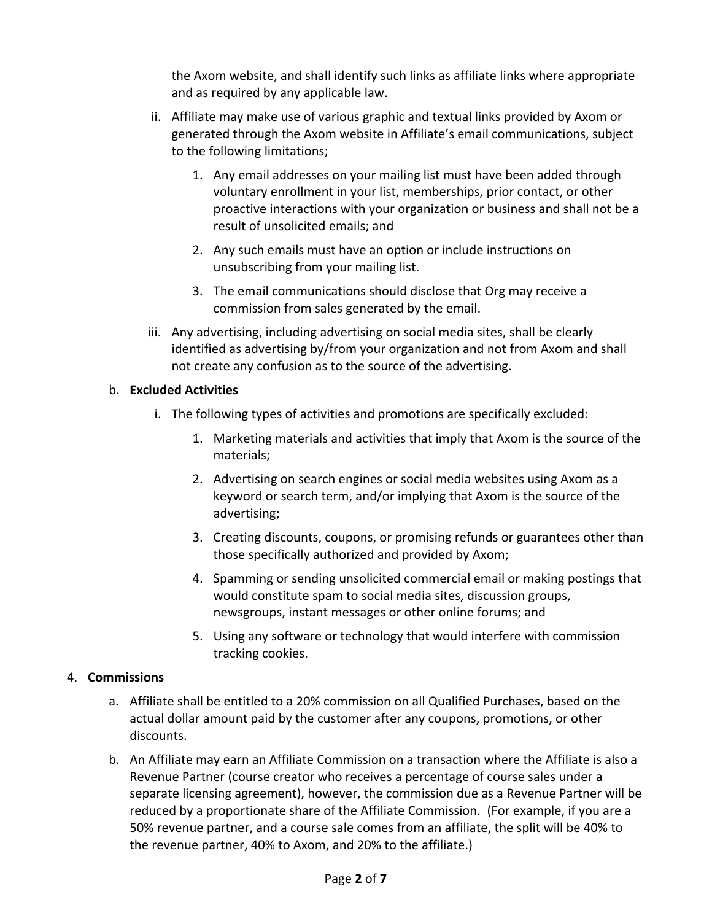the Axom website, and shall identify such links as affiliate links where appropriate and as required by any applicable law.

- ii. Affiliate may make use of various graphic and textual links provided by Axom or generated through the Axom website in Affiliate's email communications, subject to the following limitations;
	- 1. Any email addresses on your mailing list must have been added through voluntary enrollment in your list, memberships, prior contact, or other proactive interactions with your organization or business and shall not be a result of unsolicited emails; and
	- 2. Any such emails must have an option or include instructions on unsubscribing from your mailing list.
	- 3. The email communications should disclose that Org may receive a commission from sales generated by the email.
- iii. Any advertising, including advertising on social media sites, shall be clearly identified as advertising by/from your organization and not from Axom and shall not create any confusion as to the source of the advertising.

# b. **Excluded Activities**

- i. The following types of activities and promotions are specifically excluded:
	- 1. Marketing materials and activities that imply that Axom is the source of the materials;
	- 2. Advertising on search engines or social media websites using Axom as a keyword or search term, and/or implying that Axom is the source of the advertising;
	- 3. Creating discounts, coupons, or promising refunds or guarantees other than those specifically authorized and provided by Axom;
	- 4. Spamming or sending unsolicited commercial email or making postings that would constitute spam to social media sites, discussion groups, newsgroups, instant messages or other online forums; and
	- 5. Using any software or technology that would interfere with commission tracking cookies.

# 4. **Commissions**

- a. Affiliate shall be entitled to a 20% commission on all Qualified Purchases, based on the actual dollar amount paid by the customer after any coupons, promotions, or other discounts.
- b. An Affiliate may earn an Affiliate Commission on a transaction where the Affiliate is also a Revenue Partner (course creator who receives a percentage of course sales under a separate licensing agreement), however, the commission due as a Revenue Partner will be reduced by a proportionate share of the Affiliate Commission. (For example, if you are a 50% revenue partner, and a course sale comes from an affiliate, the split will be 40% to the revenue partner, 40% to Axom, and 20% to the affiliate.)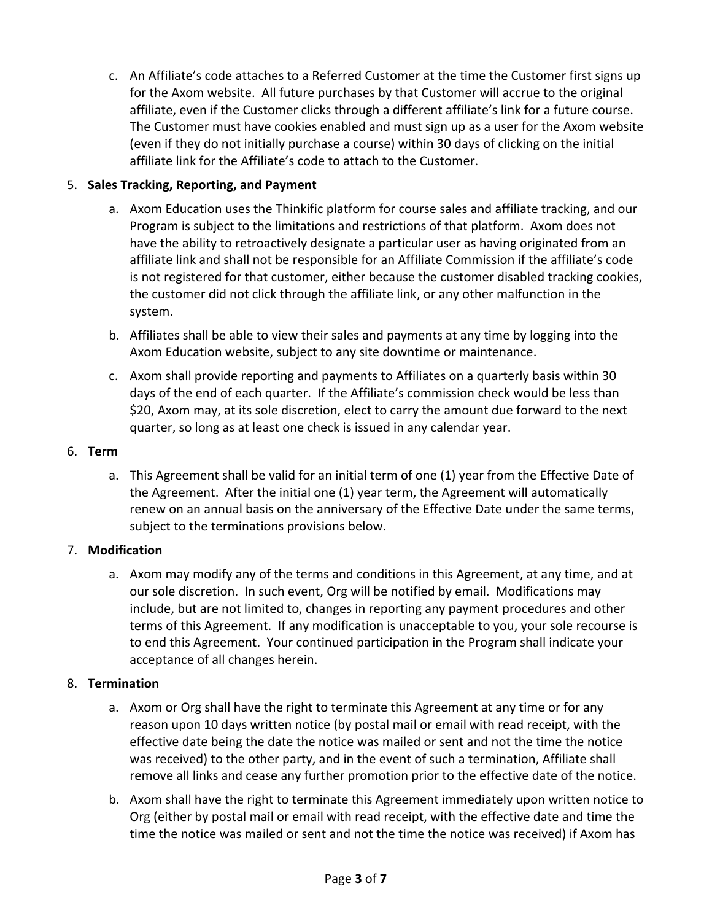c. An Affiliate's code attaches to a Referred Customer at the time the Customer first signs up for the Axom website. All future purchases by that Customer will accrue to the original affiliate, even if the Customer clicks through a different affiliate's link for a future course. The Customer must have cookies enabled and must sign up as a user for the Axom website (even if they do not initially purchase a course) within 30 days of clicking on the initial affiliate link for the Affiliate's code to attach to the Customer.

# 5. **Sales Tracking, Reporting, and Payment**

- a. Axom Education uses the Thinkific platform for course sales and affiliate tracking, and our Program is subject to the limitations and restrictions of that platform. Axom does not have the ability to retroactively designate a particular user as having originated from an affiliate link and shall not be responsible for an Affiliate Commission if the affiliate's code is not registered for that customer, either because the customer disabled tracking cookies, the customer did not click through the affiliate link, or any other malfunction in the system.
- b. Affiliates shall be able to view their sales and payments at any time by logging into the Axom Education website, subject to any site downtime or maintenance.
- c. Axom shall provide reporting and payments to Affiliates on a quarterly basis within 30 days of the end of each quarter. If the Affiliate's commission check would be less than \$20, Axom may, at its sole discretion, elect to carry the amount due forward to the next quarter, so long as at least one check is issued in any calendar year.

# 6. **Term**

a. This Agreement shall be valid for an initial term of one (1) year from the Effective Date of the Agreement. After the initial one (1) year term, the Agreement will automatically renew on an annual basis on the anniversary of the Effective Date under the same terms, subject to the terminations provisions below.

# 7. **Modification**

a. Axom may modify any of the terms and conditions in this Agreement, at any time, and at our sole discretion. In such event, Org will be notified by email. Modifications may include, but are not limited to, changes in reporting any payment procedures and other terms of this Agreement. If any modification is unacceptable to you, your sole recourse is to end this Agreement. Your continued participation in the Program shall indicate your acceptance of all changes herein.

# 8. **Termination**

- a. Axom or Org shall have the right to terminate this Agreement at any time or for any reason upon 10 days written notice (by postal mail or email with read receipt, with the effective date being the date the notice was mailed or sent and not the time the notice was received) to the other party, and in the event of such a termination, Affiliate shall remove all links and cease any further promotion prior to the effective date of the notice.
- b. Axom shall have the right to terminate this Agreement immediately upon written notice to Org (either by postal mail or email with read receipt, with the effective date and time the time the notice was mailed or sent and not the time the notice was received) if Axom has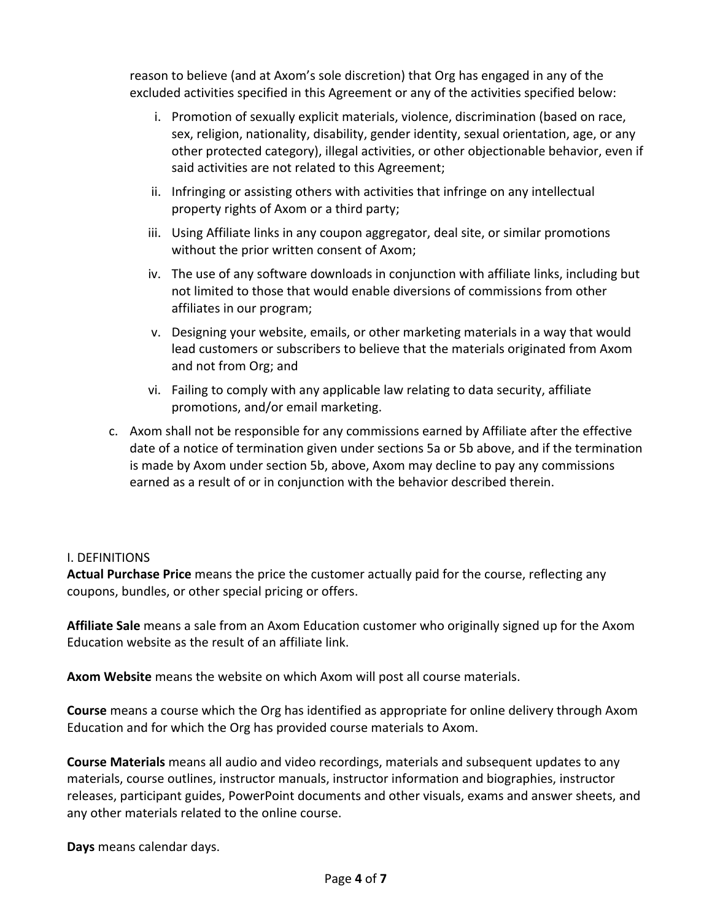reason to believe (and at Axom's sole discretion) that Org has engaged in any of the excluded activities specified in this Agreement or any of the activities specified below:

- i. Promotion of sexually explicit materials, violence, discrimination (based on race, sex, religion, nationality, disability, gender identity, sexual orientation, age, or any other protected category), illegal activities, or other objectionable behavior, even if said activities are not related to this Agreement;
- ii. Infringing or assisting others with activities that infringe on any intellectual property rights of Axom or a third party;
- iii. Using Affiliate links in any coupon aggregator, deal site, or similar promotions without the prior written consent of Axom;
- iv. The use of any software downloads in conjunction with affiliate links, including but not limited to those that would enable diversions of commissions from other affiliates in our program;
- v. Designing your website, emails, or other marketing materials in a way that would lead customers or subscribers to believe that the materials originated from Axom and not from Org; and
- vi. Failing to comply with any applicable law relating to data security, affiliate promotions, and/or email marketing.
- c. Axom shall not be responsible for any commissions earned by Affiliate after the effective date of a notice of termination given under sections 5a or 5b above, and if the termination is made by Axom under section 5b, above, Axom may decline to pay any commissions earned as a result of or in conjunction with the behavior described therein.

## I. DEFINITIONS

**Actual Purchase Price** means the price the customer actually paid for the course, reflecting any coupons, bundles, or other special pricing or offers.

**Affiliate Sale** means a sale from an Axom Education customer who originally signed up for the Axom Education website as the result of an affiliate link.

**Axom Website** means the website on which Axom will post all course materials.

**Course** means a course which the Org has identified as appropriate for online delivery through Axom Education and for which the Org has provided course materials to Axom.

**Course Materials** means all audio and video recordings, materials and subsequent updates to any materials, course outlines, instructor manuals, instructor information and biographies, instructor releases, participant guides, PowerPoint documents and other visuals, exams and answer sheets, and any other materials related to the online course.

**Days** means calendar days.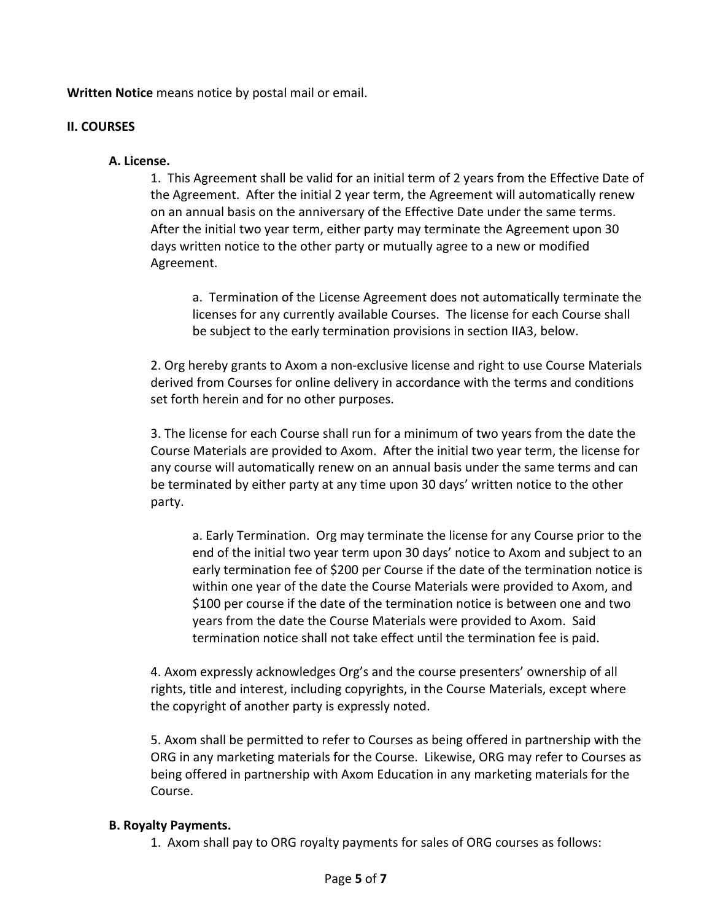**Written Notice** means notice by postal mail or email.

### **II. COURSES**

### **A. License.**

1. This Agreement shall be valid for an initial term of 2 years from the Effective Date of the Agreement. After the initial 2 year term, the Agreement will automatically renew on an annual basis on the anniversary of the Effective Date under the same terms. After the initial two year term, either party may terminate the Agreement upon 30 days written notice to the other party or mutually agree to a new or modified Agreement.

 a. Termination of the License Agreement does not automatically terminate the licenses for any currently available Courses. The license for each Course shall be subject to the early termination provisions in section IIA3, below.

2. Org hereby grants to Axom a non‐exclusive license and right to use Course Materials derived from Courses for online delivery in accordance with the terms and conditions set forth herein and for no other purposes.

3. The license for each Course shall run for a minimum of two years from the date the Course Materials are provided to Axom. After the initial two year term, the license for any course will automatically renew on an annual basis under the same terms and can be terminated by either party at any time upon 30 days' written notice to the other party.

a. Early Termination. Org may terminate the license for any Course prior to the end of the initial two year term upon 30 days' notice to Axom and subject to an early termination fee of \$200 per Course if the date of the termination notice is within one year of the date the Course Materials were provided to Axom, and \$100 per course if the date of the termination notice is between one and two years from the date the Course Materials were provided to Axom. Said termination notice shall not take effect until the termination fee is paid.

4. Axom expressly acknowledges Org's and the course presenters' ownership of all rights, title and interest, including copyrights, in the Course Materials, except where the copyright of another party is expressly noted.

5. Axom shall be permitted to refer to Courses as being offered in partnership with the ORG in any marketing materials for the Course. Likewise, ORG may refer to Courses as being offered in partnership with Axom Education in any marketing materials for the Course.

### **B. Royalty Payments.**

1. Axom shall pay to ORG royalty payments for sales of ORG courses as follows: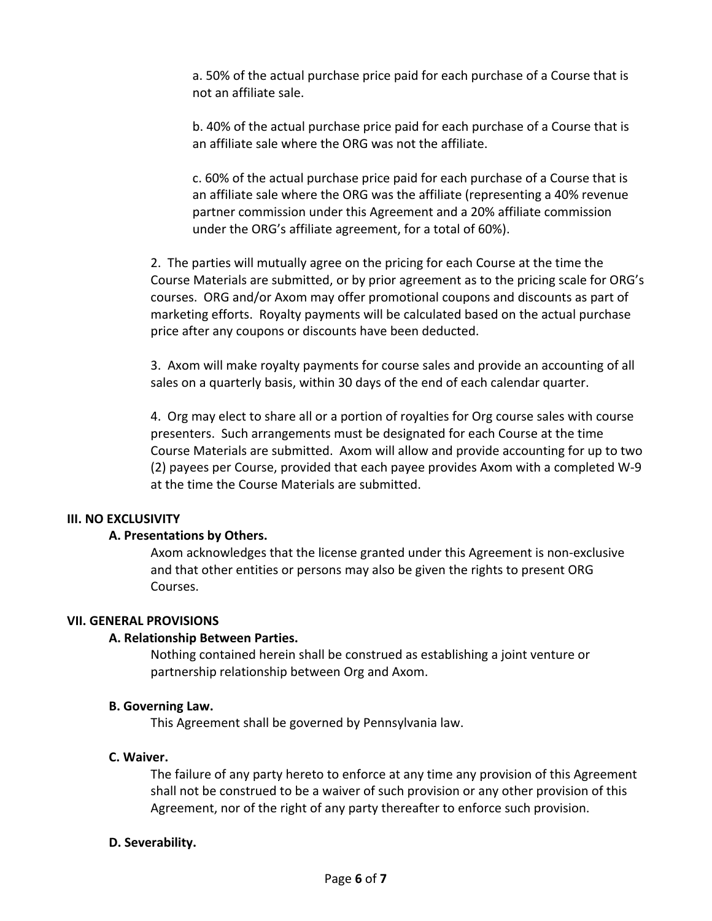a. 50% of the actual purchase price paid for each purchase of a Course that is not an affiliate sale.

b. 40% of the actual purchase price paid for each purchase of a Course that is an affiliate sale where the ORG was not the affiliate.

c. 60% of the actual purchase price paid for each purchase of a Course that is an affiliate sale where the ORG was the affiliate (representing a 40% revenue partner commission under this Agreement and a 20% affiliate commission under the ORG's affiliate agreement, for a total of 60%).

2. The parties will mutually agree on the pricing for each Course at the time the Course Materials are submitted, or by prior agreement as to the pricing scale for ORG's courses. ORG and/or Axom may offer promotional coupons and discounts as part of marketing efforts. Royalty payments will be calculated based on the actual purchase price after any coupons or discounts have been deducted.

3. Axom will make royalty payments for course sales and provide an accounting of all sales on a quarterly basis, within 30 days of the end of each calendar quarter.

4. Org may elect to share all or a portion of royalties for Org course sales with course presenters. Such arrangements must be designated for each Course at the time Course Materials are submitted. Axom will allow and provide accounting for up to two (2) payees per Course, provided that each payee provides Axom with a completed W‐9 at the time the Course Materials are submitted.

### **III. NO EXCLUSIVITY**

### **A. Presentations by Others.**

Axom acknowledges that the license granted under this Agreement is non‐exclusive and that other entities or persons may also be given the rights to present ORG Courses.

### **VII. GENERAL PROVISIONS**

### **A. Relationship Between Parties.**

Nothing contained herein shall be construed as establishing a joint venture or partnership relationship between Org and Axom.

### **B. Governing Law.**

This Agreement shall be governed by Pennsylvania law.

### **C. Waiver.**

The failure of any party hereto to enforce at any time any provision of this Agreement shall not be construed to be a waiver of such provision or any other provision of this Agreement, nor of the right of any party thereafter to enforce such provision.

### **D. Severability.**